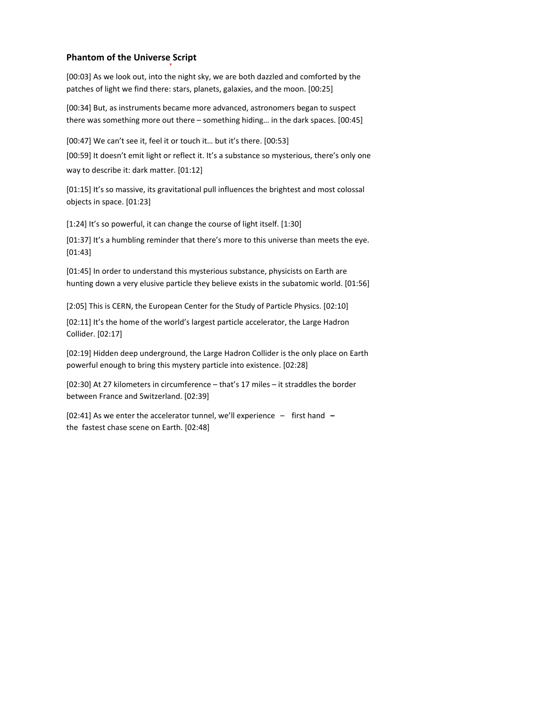## **Phantom of the Universe Script**

[00:03] As we look out, into the night sky, we are both dazzled and comforted by the patches of light we find there: stars, planets, galaxies, and the moon. [00:25]

[00:34] But, as instruments became more advanced, astronomers began to suspect there was something more out there – something hiding... in the dark spaces. [00:45]

[00:47] We can't see it, feel it or touch it... but it's there. [00:53]

[00:59] It doesn't emit light or reflect it. It's a substance so mysterious, there's only one way to describe it: dark matter. [01:12]

[01:15] It's so massive, its gravitational pull influences the brightest and most colossal objects in space. [01:23]

[1:24] It's so powerful, it can change the course of light itself. [1:30]

[01:37] It's a humbling reminder that there's more to this universe than meets the eye. [01:43] 

[01:45] In order to understand this mysterious substance, physicists on Earth are hunting down a very elusive particle they believe exists in the subatomic world. [01:56]

[2:05] This is CERN, the European Center for the Study of Particle Physics. [02:10]

[02:11] It's the home of the world's largest particle accelerator, the Large Hadron Collider. [02:17] 

[02:19] Hidden deep underground, the Large Hadron Collider is the only place on Earth powerful enough to bring this mystery particle into existence. [02:28]

[02:30] At 27 kilometers in circumference - that's 17 miles - it straddles the border between France and Switzerland. [02:39]

[02:41] As we enter the accelerator tunnel, we'll experience – first hand – the fastest chase scene on Earth. [02:48]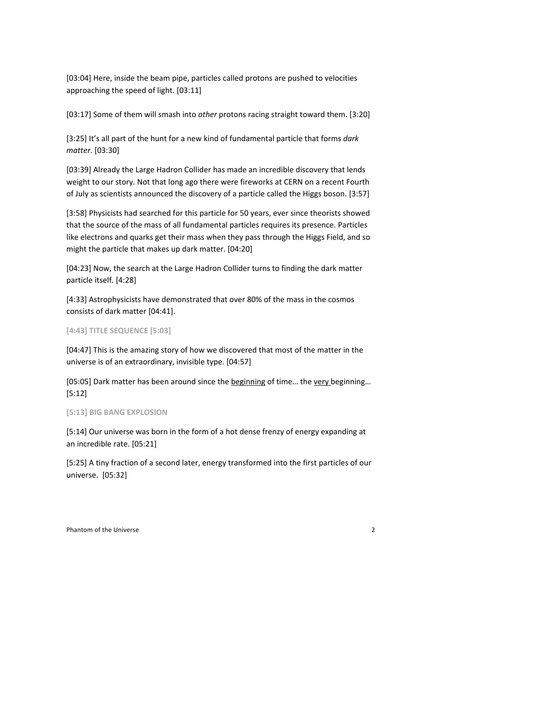[03:04] Here, inside the beam pipe, particles called protons are pushed to velocities approaching the speed of light. [03:11]

[03:17] Some of them will smash into *other* protons racing straight toward them. [3:20]

[3:25] It's all part of the hunt for a new kind of fundamental particle that forms *dark matter*. [03:30] 

[03:39] Already the Large Hadron Collider has made an incredible discovery that lends weight to our story. Not that long ago there were fireworks at CERN on a recent Fourth of July as scientists announced the discovery of a particle called the Higgs boson. [3:57]

[3:58] Physicists had searched for this particle for 50 years, ever since theorists showed that the source of the mass of all fundamental particles requires its presence. Particles like electrons and quarks get their mass when they pass through the Higgs Field, and so might the particle that makes up dark matter. [04:20]

[04:23] Now, the search at the Large Hadron Collider turns to finding the dark matter particle itself. [4:28]

[4:33] Astrophysicists have demonstrated that over 80% of the mass in the cosmos consists of dark matter [04:41].

## **[4:43] TITLE SEQUENCE [5:03]**

[04:47] This is the amazing story of how we discovered that most of the matter in the universe is of an extraordinary, invisible type. [04:57]

[05:05] Dark matter has been around since the beginning of time... the very beginning... [5:12] 

## [5:13] BIG BANG EXPLOSION

[5:14] Our universe was born in the form of a hot dense frenzy of energy expanding at an incredible rate. [05:21]

[5:25] A tiny fraction of a second later, energy transformed into the first particles of our universe. [05:32]

Phantom of the Universe 2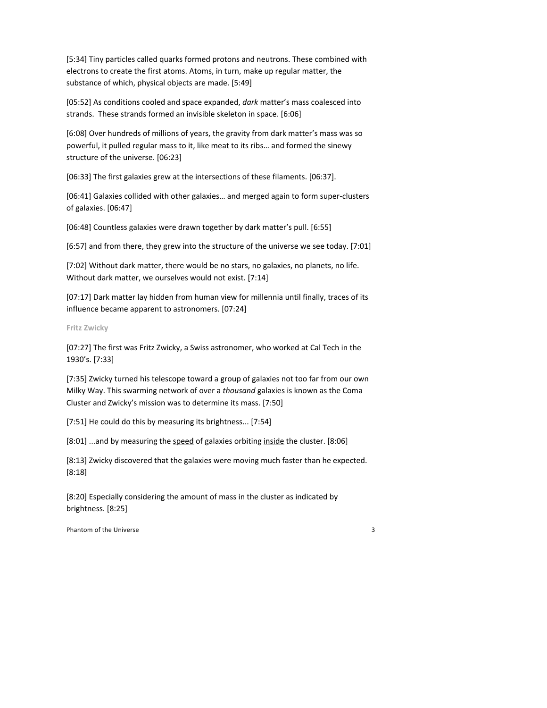[5:34] Tiny particles called quarks formed protons and neutrons. These combined with electrons to create the first atoms. Atoms, in turn, make up regular matter, the substance of which, physical objects are made. [5:49]

[05:52] As conditions cooled and space expanded, dark matter's mass coalesced into strands. These strands formed an invisible skeleton in space. [6:06]

[6:08] Over hundreds of millions of years, the gravity from dark matter's mass was so powerful, it pulled regular mass to it, like meat to its ribs... and formed the sinewy structure of the universe. [06:23]

[06:33] The first galaxies grew at the intersections of these filaments. [06:37].

[06:41] Galaxies collided with other galaxies... and merged again to form super-clusters of galaxies. [06:47]

[06:48] Countless galaxies were drawn together by dark matter's pull. [6:55]

[6:57] and from there, they grew into the structure of the universe we see today. [7:01]

[7:02] Without dark matter, there would be no stars, no galaxies, no planets, no life. Without dark matter, we ourselves would not exist. [7:14]

[07:17] Dark matter lay hidden from human view for millennia until finally, traces of its influence became apparent to astronomers. [07:24]

**Fritz Zwicky**

[07:27] The first was Fritz Zwicky, a Swiss astronomer, who worked at Cal Tech in the 1930's. [7:33]

[7:35] Zwicky turned his telescope toward a group of galaxies not too far from our own Milky Way. This swarming network of over a *thousand* galaxies is known as the Coma Cluster and Zwicky's mission was to determine its mass. [7:50]

[7:51] He could do this by measuring its brightness... [7:54]

[8:01] ...and by measuring the speed of galaxies orbiting inside the cluster. [8:06]

[8:13] Zwicky discovered that the galaxies were moving much faster than he expected. [8:18]

[8:20] Especially considering the amount of mass in the cluster as indicated by brightness. [8:25]

Phantom of the Universe 3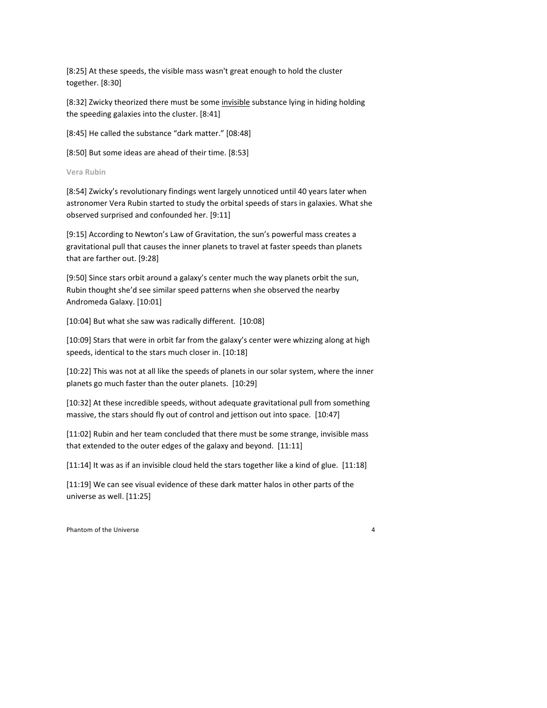[8:25] At these speeds, the visible mass wasn't great enough to hold the cluster together. [8:30]

[8:32] Zwicky theorized there must be some invisible substance lying in hiding holding the speeding galaxies into the cluster. [8:41]

[8:45] He called the substance "dark matter." [08:48]

[8:50] But some ideas are ahead of their time. [8:53]

**Vera Rubin** 

[8:54] Zwicky's revolutionary findings went largely unnoticed until 40 years later when astronomer Vera Rubin started to study the orbital speeds of stars in galaxies. What she observed surprised and confounded her. [9:11]

[9:15] According to Newton's Law of Gravitation, the sun's powerful mass creates a gravitational pull that causes the inner planets to travel at faster speeds than planets that are farther out. [9:28]

[9:50] Since stars orbit around a galaxy's center much the way planets orbit the sun, Rubin thought she'd see similar speed patterns when she observed the nearby Andromeda Galaxy. [10:01]

[10:04] But what she saw was radically different. [10:08]

[10:09] Stars that were in orbit far from the galaxy's center were whizzing along at high speeds, identical to the stars much closer in. [10:18]

[10:22] This was not at all like the speeds of planets in our solar system, where the inner planets go much faster than the outer planets. [10:29]

[10:32] At these incredible speeds, without adequate gravitational pull from something massive, the stars should fly out of control and jettison out into space.  $[10:47]$ 

[11:02] Rubin and her team concluded that there must be some strange, invisible mass that extended to the outer edges of the galaxy and beyond.  $[11:11]$ 

[11:14] It was as if an invisible cloud held the stars together like a kind of glue. [11:18]

[11:19] We can see visual evidence of these dark matter halos in other parts of the universe as well. [11:25]

Phantom of the Universe 4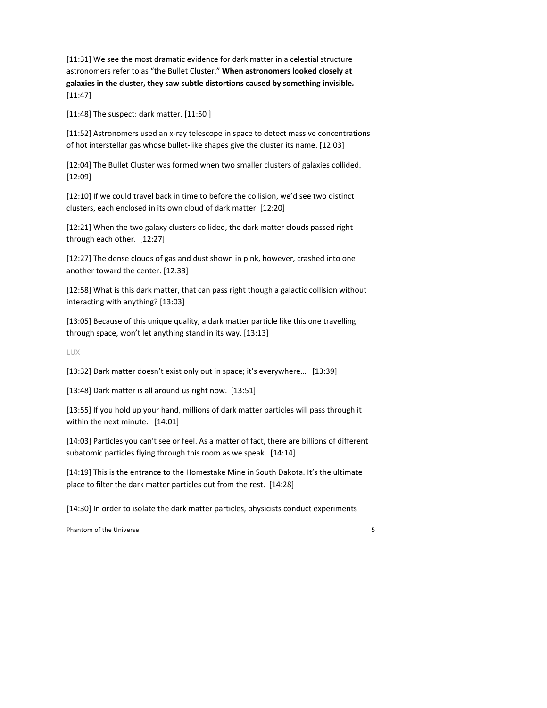[11:31] We see the most dramatic evidence for dark matter in a celestial structure astronomers refer to as "the Bullet Cluster." When astronomers looked closely at galaxies in the cluster, they saw subtle distortions caused by something invisible. [11:47]

 $[11:48]$  The suspect: dark matter.  $[11:50]$ 

[11:52] Astronomers used an x-ray telescope in space to detect massive concentrations of hot interstellar gas whose bullet-like shapes give the cluster its name. [12:03]

[12:04] The Bullet Cluster was formed when two smaller clusters of galaxies collided. [12:09]

[12:10] If we could travel back in time to before the collision, we'd see two distinct clusters, each enclosed in its own cloud of dark matter. [12:20]

[12:21] When the two galaxy clusters collided, the dark matter clouds passed right through each other. [12:27]

[12:27] The dense clouds of gas and dust shown in pink, however, crashed into one another toward the center. [12:33]

[12:58] What is this dark matter, that can pass right though a galactic collision without interacting with anything? [13:03]

[13:05] Because of this unique quality, a dark matter particle like this one travelling through space, won't let anything stand in its way. [13:13]

LUX

[13:32] Dark matter doesn't exist only out in space; it's everywhere... [13:39]

[13:48] Dark matter is all around us right now. [13:51]

[13:55] If you hold up your hand, millions of dark matter particles will pass through it within the next minute. [14:01]

[14:03] Particles you can't see or feel. As a matter of fact, there are billions of different subatomic particles flying through this room as we speak. [14:14]

[14:19] This is the entrance to the Homestake Mine in South Dakota. It's the ultimate place to filter the dark matter particles out from the rest. [14:28]

[14:30] In order to isolate the dark matter particles, physicists conduct experiments

Phantom of the Universe 5 and the Universe  $\sim$  5 and the Universe of the Universe  $\sim$  5 and the Universe of the Universe of the Universe of the Universe of the Universe of the Universe of the Universe of the Universe of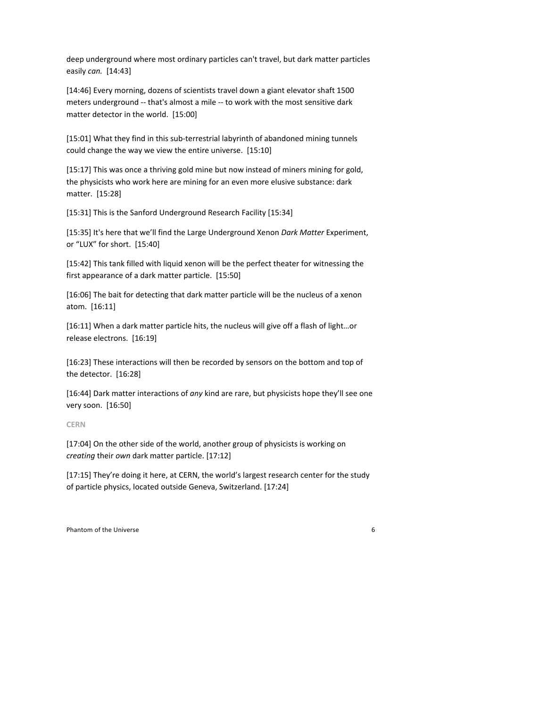deep underground where most ordinary particles can't travel, but dark matter particles easily *can.* [14:43]

[14:46] Every morning, dozens of scientists travel down a giant elevator shaft 1500 meters underground -- that's almost a mile -- to work with the most sensitive dark matter detector in the world. [15:00]

[15:01] What they find in this sub-terrestrial labyrinth of abandoned mining tunnels could change the way we view the entire universe. [15:10]

[15:17] This was once a thriving gold mine but now instead of miners mining for gold, the physicists who work here are mining for an even more elusive substance: dark matter. [15:28]

[15:31] This is the Sanford Underground Research Facility [15:34]

[15:35] It's here that we'll find the Large Underground Xenon *Dark Matter* Experiment, or "LUX" for short. [15:40]

[15:42] This tank filled with liquid xenon will be the perfect theater for witnessing the first appearance of a dark matter particle. [15:50]

[16:06] The bait for detecting that dark matter particle will be the nucleus of a xenon atom. [16:11]

[16:11] When a dark matter particle hits, the nucleus will give off a flash of light...or release electrons. [16:19]

[16:23] These interactions will then be recorded by sensors on the bottom and top of the detector. [16:28]

[16:44] Dark matter interactions of *any* kind are rare, but physicists hope they'll see one very soon. [16:50]

**CERN**

[17:04] On the other side of the world, another group of physicists is working on *creating* their own dark matter particle. [17:12]

[17:15] They're doing it here, at CERN, the world's largest research center for the study of particle physics, located outside Geneva, Switzerland. [17:24]

Phantom of the Universe 6 and the Universe of the Universe of the Universe of the Universe of the Universe of the Universe of the Universe of the Universe of the Universe of the Universe of the Universe of the Universe of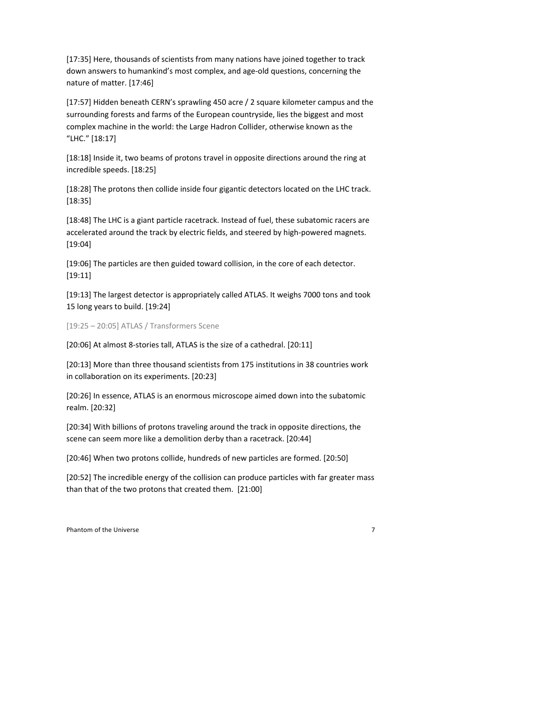[17:35] Here, thousands of scientists from many nations have joined together to track down answers to humankind's most complex, and age-old questions, concerning the nature of matter. [17:46]

[17:57] Hidden beneath CERN's sprawling 450 acre / 2 square kilometer campus and the surrounding forests and farms of the European countryside, lies the biggest and most complex machine in the world: the Large Hadron Collider, otherwise known as the "LHC." [18:17]

[18:18] Inside it, two beams of protons travel in opposite directions around the ring at incredible speeds. [18:25]

[18:28] The protons then collide inside four gigantic detectors located on the LHC track.  $[18:35]$ 

[18:48] The LHC is a giant particle racetrack. Instead of fuel, these subatomic racers are accelerated around the track by electric fields, and steered by high-powered magnets. [19:04] 

[19:06] The particles are then guided toward collision, in the core of each detector. [19:11]

[19:13] The largest detector is appropriately called ATLAS. It weighs 7000 tons and took 15 long years to build. [19:24]

[19:25 – 20:05] ATLAS / Transformers Scene

[20:06] At almost 8-stories tall, ATLAS is the size of a cathedral. [20:11]

[20:13] More than three thousand scientists from 175 institutions in 38 countries work in collaboration on its experiments. [20:23]

[20:26] In essence, ATLAS is an enormous microscope aimed down into the subatomic realm. [20:32]

[20:34] With billions of protons traveling around the track in opposite directions, the scene can seem more like a demolition derby than a racetrack. [20:44]

[20:46] When two protons collide, hundreds of new particles are formed. [20:50]

[20:52] The incredible energy of the collision can produce particles with far greater mass than that of the two protons that created them. [21:00]

Phantom of the Universe 7 and 2008 and 2008 and 2008 and 2008 and 2008 and 2008 and 2008 and 2008 and 2008 and 2008 and 2008 and 2008 and 2008 and 2008 and 2008 and 2008 and 2008 and 2008 and 2008 and 2008 and 2008 and 200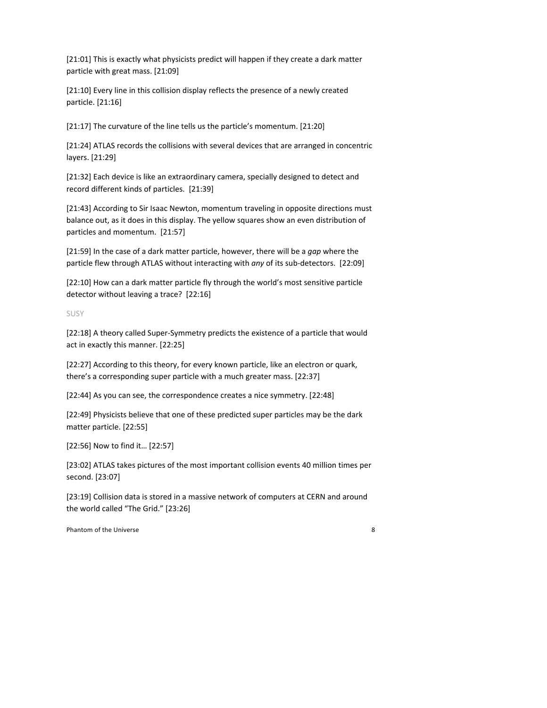[21:01] This is exactly what physicists predict will happen if they create a dark matter particle with great mass. [21:09]

[21:10] Every line in this collision display reflects the presence of a newly created particle. [21:16]

[21:17] The curvature of the line tells us the particle's momentum. [21:20]

[21:24] ATLAS records the collisions with several devices that are arranged in concentric layers. [21:29]

[21:32] Each device is like an extraordinary camera, specially designed to detect and record different kinds of particles. [21:39]

[21:43] According to Sir Isaac Newton, momentum traveling in opposite directions must balance out, as it does in this display. The yellow squares show an even distribution of particles and momentum. [21:57]

[21:59] In the case of a dark matter particle, however, there will be a gap where the particle flew through ATLAS without interacting with *any* of its sub-detectors. [22:09]

[22:10] How can a dark matter particle fly through the world's most sensitive particle detector without leaving a trace? [22:16]

SUSY

[22:18] A theory called Super-Symmetry predicts the existence of a particle that would act in exactly this manner. [22:25]

[22:27] According to this theory, for every known particle, like an electron or quark, there's a corresponding super particle with a much greater mass. [22:37]

[22:44] As you can see, the correspondence creates a nice symmetry. [22:48]

[22:49] Physicists believe that one of these predicted super particles may be the dark matter particle. [22:55]

[22:56] Now to find it... [22:57]

[23:02] ATLAS takes pictures of the most important collision events 40 million times per second. [23:07]

[23:19] Collision data is stored in a massive network of computers at CERN and around the world called "The Grid." [23:26]

Phantom of the Universe and the Universe of the Universe of the Universe of the Universe of the Universe of the Universe of the Universe of the Universe of the Universe of the Universe of the Universe of the Universe of th